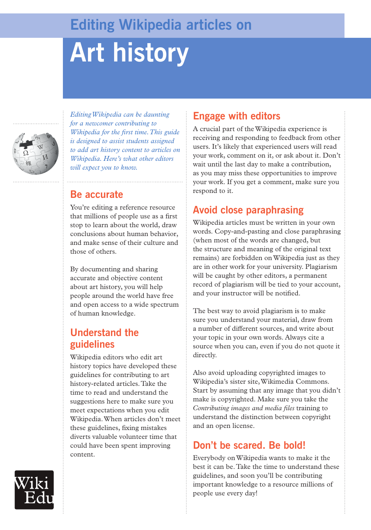## **Editing Wikipedia articles on**

# **Art history**



*Editing Wikipedia can be daunting for a newcomer contributing to Wikipedia for the first time. This guide is designed to assist students assigned to add art history content to articles on Wikipedia. Here's what other editors will expect you to know.*

#### **Be accurate**

You're editing a reference resource that millions of people use as a first stop to learn about the world, draw conclusions about human behavior, and make sense of their culture and those of others.

By documenting and sharing accurate and objective content about art history, you will help people around the world have free and open access to a wide spectrum of human knowledge.

#### **Understand the guidelines**

Wikipedia editors who edit art history topics have developed these guidelines for contributing to art history-related articles. Take the time to read and understand the suggestions here to make sure you meet expectations when you edit Wikipedia. When articles don't meet these guidelines, fixing mistakes diverts valuable volunteer time that could have been spent improving content.

#### **Engage with editors**

A crucial part of the Wikipedia experience is receiving and responding to feedback from other users. It's likely that experienced users will read your work, comment on it, or ask about it. Don't wait until the last day to make a contribution, as you may miss these opportunities to improve your work. If you get a comment, make sure you respond to it.

## **Avoid close paraphrasing**

Wikipedia articles must be written in your own words. Copy-and-pasting and close paraphrasing (when most of the words are changed, but the structure and meaning of the original text remains) are forbidden on Wikipedia just as they are in other work for your university. Plagiarism will be caught by other editors, a permanent record of plagiarism will be tied to your account, and your instructor will be notified.

The best way to avoid plagiarism is to make sure you understand your material, draw from a number of different sources, and write about your topic in your own words. Always cite a source when you can, even if you do not quote it directly.

Also avoid uploading copyrighted images to Wikipedia's sister site, Wikimedia Commons. Start by assuming that any image that you didn't make is copyrighted. Make sure you take the *Contributing images and media files* training to understand the distinction between copyright and an open license.

## **Don't be scared. Be bold!**

Everybody on Wikipedia wants to make it the best it can be. Take the time to understand these guidelines, and soon you'll be contributing important knowledge to a resource millions of people use every day!

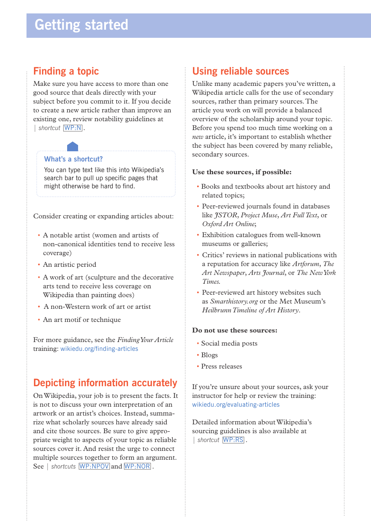#### **Finding a topic**

Make sure you have access to more than one good source that deals directly with your subject before you commit to it. If you decide to create a new article rather than improve an existing one, review notability guidelines at | *shortcut* WP:N .

#### **What's a shortcut?**

You can type text like this into Wikipedia's search bar to pull up specific pages that might otherwise be hard to find.

Consider creating or expanding articles about:

- A notable artist (women and artists of non-canonical identities tend to receive less coverage)
- An artistic period
- A work of art (sculpture and the decorative arts tend to receive less coverage on Wikipedia than painting does)
- A non-Western work of art or artist
- An art motif or technique

For more guidance, see the *Finding Your Article* training: wikiedu.org/finding-articles

## **Depicting information accurately**

On Wikipedia, your job is to present the facts. It is not to discuss your own interpretation of an artwork or an artist's choices. Instead, summarize what scholarly sources have already said and cite those sources. Be sure to give appropriate weight to aspects of your topic as reliable sources cover it. And resist the urge to connect multiple sources together to form an argument. See | *shortcuts* WP:NPOV and WP:NOR.

#### **Using reliable sources**

Unlike many academic papers you've written, a Wikipedia article calls for the use of secondary sources, rather than primary sources. The article you work on will provide a balanced overview of the scholarship around your topic. Before you spend too much time working on a *new* article, it's important to establish whether the subject has been covered by many reliable, secondary sources.

#### **Use these sources, if possible:**

- Books and textbooks about art history and related topics;
- Peer-reviewed journals found in databases like *JSTOR*, *Project Muse*, *Art Full Text*, or *Oxford Art Online*;
- Exhibition catalogues from well-known museums or galleries;
- Critics' reviews in national publications with a reputation for accuracy like *Artforum*, *The Art Newspaper*, *Arts Journal*, or *The New York Times.*
- Peer-reviewed art history websites such as *Smarthistory.org* or the Met Museum's *Heilbrunn Timeline of Art History*.

#### **Do not use these sources:**

- Social media posts
- Blogs
- Press releases

If you're unsure about your sources, ask your instructor for help or review the training: wikiedu.org/evaluating-articles

Detailed information about Wikipedia's sourcing guidelines is also available at | *shortcut* WP:RS .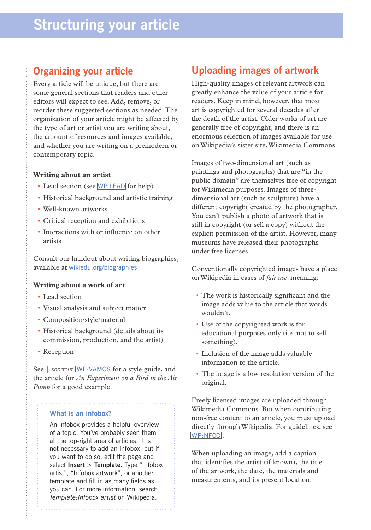## **Organizing your article**

Every article will be unique, but there are some general sections that readers and other editors will expect to see. Add, remove, or reorder these suggested sections as needed. The organization of your article might be affected by the type of art or artist you are writing about, the amount of resources and images available, and whether you are writing on a premodern or contemporary topic.

#### **Writing about an artist**

- Lead section (see WP:LEAD for help)
- Historical background and artistic training
- Well-known artworks
- Critical reception and exhibitions
- Interactions with or influence on other artists

Consult our handout about writing biographies, available at wikiedu.org/biographies

#### **Writing about a work of art**

- Lead section
- Visual analysis and subject matter
- Composition/style/material
- Historical background (details about its commission, production, and the artist)
- Reception

See | shortcut WP: VAMOS for a style guide, and the article for *An Experiment on a Bird in the Air Pump* for a good example.

#### **What is an infobox?**

An infobox provides a helpful overview of a topic. You've probably seen them at the top-right area of articles. It is not necessary to add an infobox, but if you want to do so, edit the page and select **Insert** > **Template**. Type "Infobox artist", "Infobox artwork", or another template and fill in as many fields as you can. For more information, search *Template:Infobox artist* on Wikipedia.

## **Uploading images of artwork**

High-quality images of relevant artwork can greatly enhance the value of your article for readers. Keep in mind, however, that most art is copyrighted for several decades after the death of the artist. Older works of art are generally free of copyright, and there is an enormous selection of images available for use on Wikipedia's sister site, Wikimedia Commons.

Images of two-dimensional art (such as paintings and photographs) that are "in the public domain" are themselves free of copyright for Wikimedia purposes. Images of threedimensional art (such as sculpture) have a different copyright created by the photographer. You can't publish a photo of artwork that is still in copyright (or sell a copy) without the explicit permission of the artist. However, many museums have released their photographs under free licenses.

Conventionally copyrighted images have a place on Wikipedia in cases of *fair use*, meaning:

- The work is historically significant and the image adds value to the article that words wouldn't.
- Use of the copyrighted work is for educational purposes only (i.e. not to sell something).
- Inclusion of the image adds valuable information to the article.
- The image is a low resolution version of the original.

Freely licensed images are uploaded through Wikimedia Commons. But when contributing non-free content to an article, you must upload directly through Wikipedia. For guidelines, see WP:NFCC.

When uploading an image, add a caption that identifies the artist (if known), the title of the artwork, the date, the materials and measurements, and its present location.